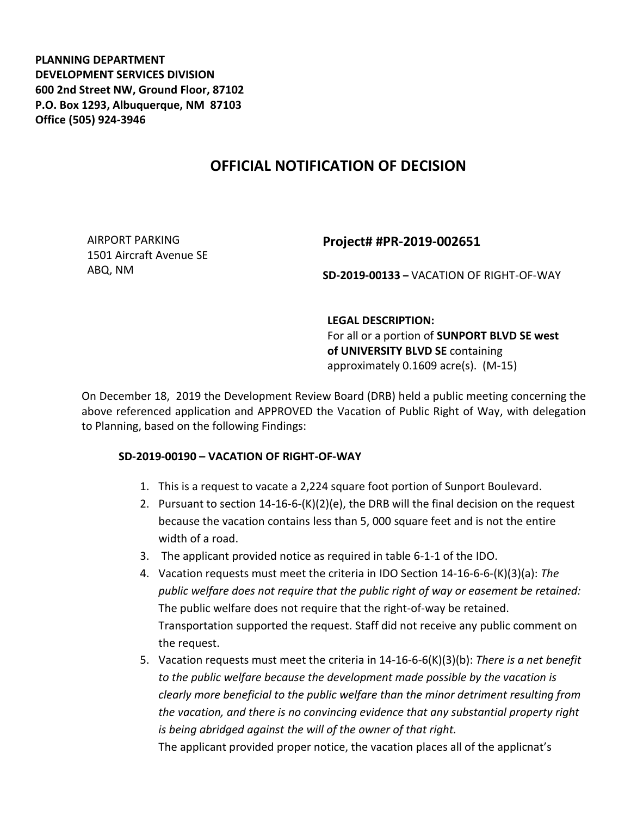**PLANNING DEPARTMENT DEVELOPMENT SERVICES DIVISION 600 2nd Street NW, Ground Floor, 87102 P.O. Box 1293, Albuquerque, NM 87103 Office (505) 924-3946** 

## **OFFICIAL NOTIFICATION OF DECISION**

AIRPORT PARKING 1501 Aircraft Avenue SE ABQ, NM

## **Project# #PR-2019-002651**

**SD-2019-00133 –** VACATION OF RIGHT-OF-WAY

## **LEGAL DESCRIPTION:**

For all or a portion of **SUNPORT BLVD SE west of UNIVERSITY BLVD SE** containing approximately 0.1609 acre(s). (M-15)

On December 18, 2019 the Development Review Board (DRB) held a public meeting concerning the above referenced application and APPROVED the Vacation of Public Right of Way, with delegation to Planning, based on the following Findings:

## **SD-2019-00190 – VACATION OF RIGHT-OF-WAY**

- 1. This is a request to vacate a 2,224 square foot portion of Sunport Boulevard.
- 2. Pursuant to section 14-16-6-(K)(2)(e), the DRB will the final decision on the request because the vacation contains less than 5, 000 square feet and is not the entire width of a road.
- 3. The applicant provided notice as required in table 6-1-1 of the IDO.
- 4. Vacation requests must meet the criteria in IDO Section 14-16-6-6-(K)(3)(a): *The public welfare does not require that the public right of way or easement be retained:* The public welfare does not require that the right-of-way be retained. Transportation supported the request. Staff did not receive any public comment on the request.
- 5. Vacation requests must meet the criteria in 14-16-6-6(K)(3)(b): *There is a net benefit to the public welfare because the development made possible by the vacation is clearly more beneficial to the public welfare than the minor detriment resulting from the vacation, and there is no convincing evidence that any substantial property right is being abridged against the will of the owner of that right.*

The applicant provided proper notice, the vacation places all of the applicnat's